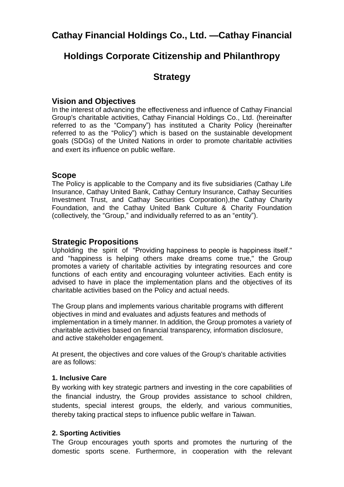# **Cathay Financial Holdings Co., Ltd. —Cathay Financial**

## **Holdings Corporate Citizenship and Philanthropy**

## **Strategy**

## **Vision and Objectives**

In the interest of advancing the effectiveness and influence of Cathay Financial Group's charitable activities, Cathay Financial Holdings Co., Ltd. (hereinafter referred to as the "Company") has instituted a Charity Policy (hereinafter referred to as the "Policy") which is based on the sustainable development goals (SDGs) of the United Nations in order to promote charitable activities and exert its influence on public welfare.

### **Scope**

The Policy is applicable to the Company and its five subsidiaries (Cathay Life Insurance, Cathay United Bank, Cathay Century Insurance, Cathay Securities Investment Trust, and Cathay Securities Corporation),the Cathay Charity Foundation, and the Cathay United Bank Culture & Charity Foundation (collectively, the "Group," and individually referred to as an "entity").

## **Strategic Propositions**

Upholding the spirit of "Providing happiness to people is happiness itself." and "happiness is helping others make dreams come true," the Group promotes a variety of charitable activities by integrating resources and core functions of each entity and encouraging volunteer activities. Each entity is advised to have in place the implementation plans and the objectives of its charitable activities based on the Policy and actual needs.

The Group plans and implements various charitable programs with different objectives in mind and evaluates and adjusts features and methods of implementation in a timely manner. In addition, the Group promotes a variety of charitable activities based on financial transparency, information disclosure, and active stakeholder engagement.

At present, the objectives and core values of the Group's charitable activities are as follows:

### **1. Inclusive Care**

By working with key strategic partners and investing in the core capabilities of the financial industry, the Group provides assistance to school children, students, special interest groups, the elderly, and various communities, thereby taking practical steps to influence public welfare in Taiwan.

### **2. Sporting Activities**

The Group encourages youth sports and promotes the nurturing of the domestic sports scene. Furthermore, in cooperation with the relevant